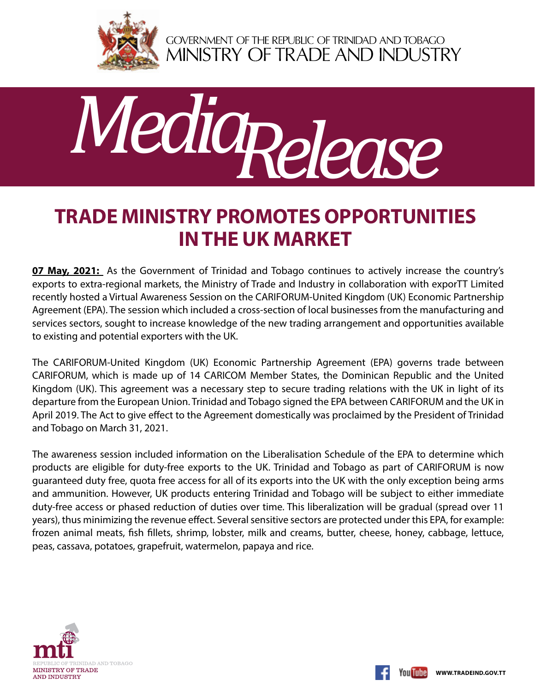

GOVERNMENT OF THE REPUBLIC OF TRINIDAD AND TOBAGO<br>MINISTRY OF TRADE AND INDUSTRY



## **Trade Ministry promotes opportunities in the UK market**

**07 May, 2021:** As the Government of Trinidad and Tobago continues to actively increase the country's exports to extra-regional markets, the Ministry of Trade and Industry in collaboration with exporTT Limited recently hosted a Virtual Awareness Session on the CARIFORUM-United Kingdom (UK) Economic Partnership Agreement (EPA). The session which included a cross-section of local businesses from the manufacturing and services sectors, sought to increase knowledge of the new trading arrangement and opportunities available to existing and potential exporters with the UK.

The CARIFORUM-United Kingdom (UK) Economic Partnership Agreement (EPA) governs trade between CARIFORUM, which is made up of 14 CARICOM Member States, the Dominican Republic and the United Kingdom (UK). This agreement was a necessary step to secure trading relations with the UK in light of its departure from the European Union. Trinidad and Tobago signed the EPA between CARIFORUM and the UK in April 2019. The Act to give effect to the Agreement domestically was proclaimed by the President of Trinidad and Tobago on March 31, 2021.

The awareness session included information on the Liberalisation Schedule of the EPA to determine which products are eligible for duty-free exports to the UK. Trinidad and Tobago as part of CARIFORUM is now guaranteed duty free, quota free access for all of its exports into the UK with the only exception being arms and ammunition. However, UK products entering Trinidad and Tobago will be subject to either immediate duty-free access or phased reduction of duties over time. This liberalization will be gradual (spread over 11 years), thus minimizing the revenue effect. Several sensitive sectors are protected under this EPA, for example: frozen animal meats, fish fillets, shrimp, lobster, milk and creams, butter, cheese, honey, cabbage, lettuce, peas, cassava, potatoes, grapefruit, watermelon, papaya and rice.